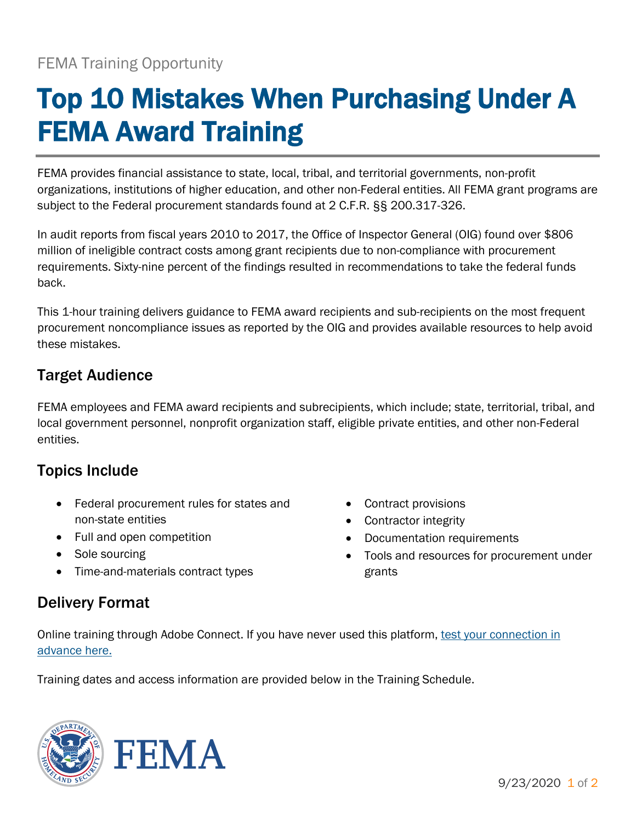# Top 10 Mistakes When Purchasing Under A FEMA Award Training

FEMA provides financial assistance to state, local, tribal, and territorial governments, non-profit organizations, institutions of higher education, and other non-Federal entities. All FEMA grant programs are subject to the Federal procurement standards found at 2 C.F.R. §§ 200.317-326.

In audit reports from fiscal years 2010 to 2017, the Office of Inspector General (OIG) found over \$806 million of ineligible contract costs among grant recipients due to non-compliance with procurement requirements. Sixty-nine percent of the findings resulted in recommendations to take the federal funds back.

This 1-hour training delivers guidance to FEMA award recipients and sub-recipients on the most frequent procurement noncompliance issues as reported by the OIG and provides available resources to help avoid these mistakes.

### Target Audience

FEMA employees and FEMA award recipients and subrecipients, which include; state, territorial, tribal, and local government personnel, nonprofit organization staff, eligible private entities, and other non-Federal entities.

### Topics Include

- Federal procurement rules for states and non-state entities
- Full and open competition
- Sole sourcing
- Time-and-materials contract types

## Delivery Format

- Contract provisions
- Contractor integrity
- Documentation requirements
- Tools and resources for procurement under grants

Online training through Adobe Connect. If you have never used this platform, [test your connection in](https://fema.connectsolutions.com/common/help/en/support/meeting_test.htm)  [advance here.](https://fema.connectsolutions.com/common/help/en/support/meeting_test.htm)

Training dates and access information are provided below in the Training Schedule.